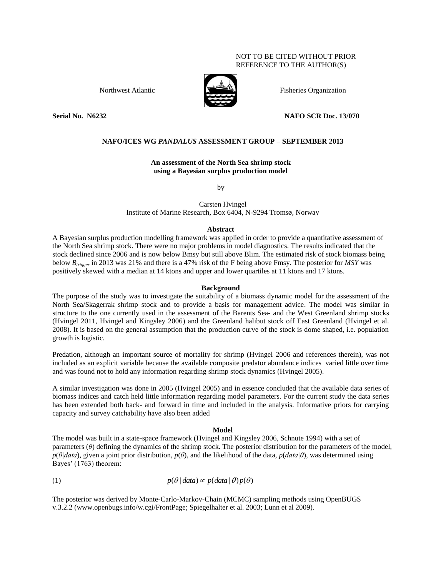## NOT TO BE CITED WITHOUT PRIOR REFERENCE TO THE AUTHOR(S)



Northwest Atlantic  $\mathbb{R}$  Fisheries Organization

# **Serial No. N6232 NAFO SCR Doc. 13/070**

# **NAFO/ICES WG** *PANDALUS* **ASSESSMENT GROUP – SEPTEMBER 2013**

**An assessment of the North Sea shrimp stock using a Bayesian surplus production model**

by

Carsten Hvingel Institute of Marine Research, Box 6404, N-9294 Tromsø, Norway

## **Abstract**

A Bayesian surplus production modelling framework was applied in order to provide a quantitative assessment of the North Sea shrimp stock. There were no major problems in model diagnostics. The results indicated that the stock declined since 2006 and is now below Bmsy but still above Blim. The estimated risk of stock biomass being below *Btrigger* in 2013 was 21% and there is a 47% risk of the F being above Fmsy. The posterior for *MSY* was positively skewed with a median at 14 ktons and upper and lower quartiles at 11 ktons and 17 ktons.

## **Background**

The purpose of the study was to investigate the suitability of a biomass dynamic model for the assessment of the North Sea/Skagerrak shrimp stock and to provide a basis for management advice. The model was similar in structure to the one currently used in the assessment of the Barents Sea- and the West Greenland shrimp stocks (Hvingel 2011, Hvingel and Kingsley 2006) and the Greenland halibut stock off East Greenland (Hvingel et al. 2008). It is based on the general assumption that the production curve of the stock is dome shaped, i.e. population growth is logistic.

Predation, although an important source of mortality for shrimp (Hvingel 2006 and references therein), was not included as an explicit variable because the available composite predator abundance indices varied little over time and was found not to hold any information regarding shrimp stock dynamics (Hvingel 2005).

A similar investigation was done in 2005 (Hvingel 2005) and in essence concluded that the available data series of biomass indices and catch held little information regarding model parameters. For the current study the data series has been extended both back- and forward in time and included in the analysis. Informative priors for carrying capacity and survey catchability have also been added

## **Model**

The model was built in a state-space framework (Hvingel and Kingsley 2006, Schnute 1994) with a set of parameters (*θ*) defining the dynamics of the shrimp stock. The posterior distribution for the parameters of the model,  $p(\theta|data)$ , given a joint prior distribution,  $p(\theta)$ , and the likelihood of the data,  $p(data|\theta)$ , was determined using Bayes' (1763) theorem:

(1)  $p(\theta | data) \propto p(data | \theta) p(\theta)$ 

The posterior was derived by Monte-Carlo-Markov-Chain (MCMC) sampling methods using OpenBUGS v.3.2.2 (www.openbugs.info/w.cgi/FrontPage; Spiegelhalter et al. 2003; Lunn et al 2009).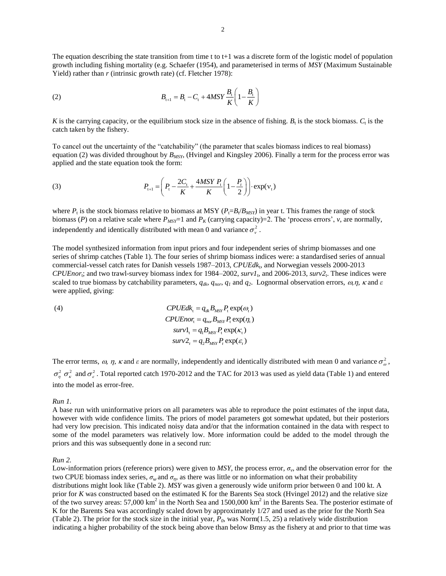The equation describing the state transition from time t to  $t+1$  was a discrete form of the logistic model of population growth including fishing mortality (e.g. Schaefer (1954), and parameterised in terms of *MSY* (Maximum Sustainable Yield) rather than *r* (intrinsic growth rate) (cf. Fletcher 1978):

(2) 
$$
B_{t+1} = B_t - C_t + 4MSY \frac{B_t}{K} \left( 1 - \frac{B_t}{K} \right)
$$

K is the carrying capacity, or the equilibrium stock size in the absence of fishing.  $B_t$  is the stock biomass.  $C_t$  is the catch taken by the fishery.

To cancel out the uncertainty of the "catchability" (the parameter that scales biomass indices to real biomass) equation (2) was divided throughout by *BMSY*, (Hvingel and Kingsley 2006). Finally a term for the process error was applied and the state equation took the form:

(3) 
$$
P_{t+1} = \left(P_t - \frac{2C_t}{K} + \frac{4MSY}{K} \frac{P_t}{1 - \frac{P_t}{2}}\right) \cdot \exp(v_t)
$$

where  $P_t$  is the stock biomass relative to biomass at MSY ( $P_t = B_t/B_{MSY}$ ) in year t. This frames the range of stock biomass (*P*) on a relative scale where  $P_{MST}$ =1 and  $P_K$  (carrying capacity)=2. The 'process errors', *v*, are normally, independently and identically distributed with mean 0 and variance  $\sigma_{\nu}^2$ .

The model synthesized information from input priors and four independent series of shrimp biomasses and one series of shrimp catches (Table 1). The four series of shrimp biomass indices were: a standardised series of annual commercial-vessel catch rates for Danish vessels 1987–2013, *CPUEdk*<sup>t</sup> , and Norwegian vessels 2000-2013  $CPUEnor<sub>t</sub>$ ; and two trawl-survey biomass index for 1984–2002,  $survl<sub>t</sub>$ , and 2006-2013,  $surv2<sub>t</sub>$ . These indices were scaled to true biomass by catchability parameters,  $q_{dk}$ ,  $q_{nor}$ ,  $q_1$  and  $q_2$ . Lognormal observation errors,  $\omega$ ,  $\eta$ ,  $\kappa$  and  $\varepsilon$ were applied, giving:

(4)  
\n
$$
CPUEdk_{t} = q_{dk}B_{MSY}P_{t} \exp(\omega_{t})
$$
\n
$$
CPUEnor_{t} = q_{nor}B_{MSY}P_{t} \exp(\eta_{t})
$$
\n
$$
surv1_{t} = q_{t}B_{MSY}P_{t} \exp(\kappa_{t})
$$
\n
$$
surv2_{t} = q_{2}B_{MSY}P_{t} \exp(\varepsilon_{t})
$$

The error terms,  $\omega$ ,  $\eta$ ,  $\kappa$  and  $\varepsilon$  are normally, independently and identically distributed with mean 0 and variance  $\sigma_{\omega}^2$ ,  $\sigma_n^2$   $\sigma_{\kappa}^2$  and  $\sigma_{\epsilon}^2$ . Total reported catch 1970-2012 and the TAC for 2013 was used as yield data (Table 1) and entered into the model as error-free.

#### *Run 1.*

A base run with uninformative priors on all parameters was able to reproduce the point estimates of the input data, however with wide confidence limits. The priors of model parameters got somewhat updated, but their posteriors had very low precision. This indicated noisy data and/or that the information contained in the data with respect to some of the model parameters was relatively low. More information could be added to the model through the priors and this was subsequently done in a second run:

#### *Run 2.*

Low-information priors (reference priors) were given to  $MSY$ , the process error,  $\sigma_v$ , and the observation error for the two CPUE biomass index series, *σ<sup>ω</sup>* and *ση*, as there was little or no information on what their probability distributions might look like (Table 2). *MSY* was given a generously wide uniform prior between 0 and 100 kt. A prior for *K* was constructed based on the estimated K for the Barents Sea stock (Hvingel 2012) and the relative size of the two survey areas:  $57{,}000 \text{ km}^2$  in the North Sea and  $1500{,}000 \text{ km}^2$  in the Barents Sea. The posterior estimate of K for the Barents Sea was accordingly scaled down by approximately 1/27 and used as the prior for the North Sea (Table 2). The prior for the stock size in the initial year, *P0*, was Norm(1.5, 25) a relatively wide distribution indicating a higher probability of the stock being above than below Bmsy as the fishery at and prior to that time was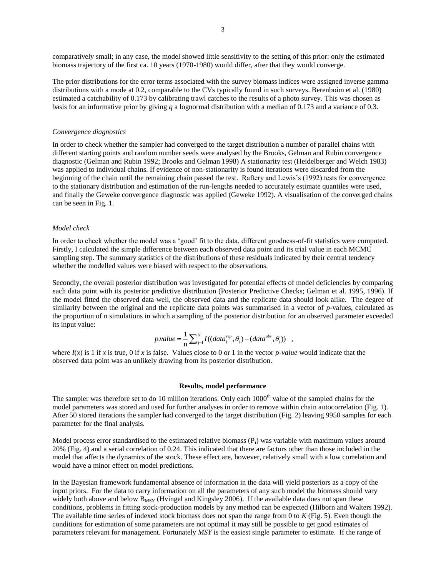comparatively small; in any case, the model showed little sensitivity to the setting of this prior: only the estimated biomass trajectory of the first ca. 10 years (1970-1980) would differ, after that they would converge.

The prior distributions for the error terms associated with the survey biomass indices were assigned inverse gamma distributions with a mode at 0.2, comparable to the CVs typically found in such surveys. Berenboim et al. (1980) estimated a catchability of 0.173 by calibrating trawl catches to the results of a photo survey. This was chosen as basis for an informative prior by giving *q* a lognormal distribution with a median of 0.173 and a variance of 0.3.

### *Convergence diagnostics*

In order to check whether the sampler had converged to the target distribution a number of parallel chains with different starting points and random number seeds were analysed by the Brooks, Gelman and Rubin convergence diagnostic (Gelman and Rubin 1992; Brooks and Gelman 1998) A stationarity test (Heidelberger and Welch 1983) was applied to individual chains. If evidence of non-stationarity is found iterations were discarded from the beginning of the chain until the remaining chain passed the test. Raftery and Lewis's (1992) tests for convergence to the stationary distribution and estimation of the run-lengths needed to accurately estimate quantiles were used, and finally the Geweke convergence diagnostic was applied (Geweke 1992). A visualisation of the converged chains can be seen in Fig. 1.

### *Model check*

In order to check whether the model was a 'good' fit to the data, different goodness-of-fit statistics were computed. Firstly, I calculated the simple difference between each observed data point and its trial value in each MCMC sampling step. The summary statistics of the distributions of these residuals indicated by their central tendency whether the modelled values were biased with respect to the observations.

Secondly, the overall posterior distribution was investigated for potential effects of model deficiencies by comparing each data point with its posterior predictive distribution (Posterior Predictive Checks; Gelman et al. 1995, 1996). If the model fitted the observed data well, the observed data and the replicate data should look alike. The degree of similarity between the original and the replicate data points was summarised in a vector of *p*-values, calculated as the proportion of n simulations in which a sampling of the posterior distribution for an observed parameter exceeded its input value:

$$
p.value = \frac{1}{n} \sum_{j=1}^{N} I((data_j^{rep}, \theta_j) - (data^{obs}, \theta_j)) ,
$$

where  $I(x)$  is 1 if *x* is true, 0 if *x* is false. Values close to 0 or 1 in the vector *p-value* would indicate that the observed data point was an unlikely drawing from its posterior distribution.

### **Results, model performance**

The sampler was therefore set to do 10 million iterations. Only each  $1000<sup>th</sup>$  value of the sampled chains for the model parameters was stored and used for further analyses in order to remove within chain autocorrelation (Fig. 1). After 50 stored iterations the sampler had converged to the target distribution (Fig. 2) leaving 9950 samples for each parameter for the final analysis.

Model process error standardised to the estimated relative biomass  $(P_i)$  was variable with maximum values around 20% (Fig. 4) and a serial correlation of 0.24. This indicated that there are factors other than those included in the model that affects the dynamics of the stock. These effect are, however, relatively small with a low correlation and would have a minor effect on model predictions.

In the Bayesian framework fundamental absence of information in the data will yield posteriors as a copy of the input priors. For the data to carry information on all the parameters of any such model the biomass should vary widely both above and below  $B_{MSY}$  (Hvingel and Kingsley 2006). If the available data does not span these conditions, problems in fitting stock-production models by any method can be expected (Hilborn and Walters 1992). The available time series of indexed stock biomass does not span the range from 0 to *K* (Fig. 5). Even though the conditions for estimation of some parameters are not optimal it may still be possible to get good estimates of parameters relevant for management. Fortunately *MSY* is the easiest single parameter to estimate. If the range of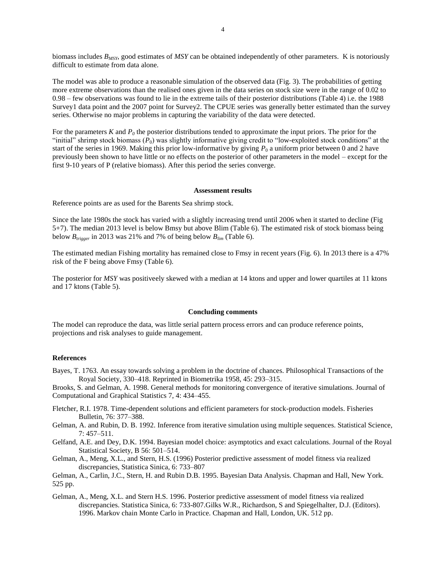biomass includes *BMSY*, good estimates of *MSY* can be obtained independently of other parameters. K is notoriously difficult to estimate from data alone.

The model was able to produce a reasonable simulation of the observed data (Fig. 3). The probabilities of getting more extreme observations than the realised ones given in the data series on stock size were in the range of 0.02 to 0.98 – few observations was found to lie in the extreme tails of their posterior distributions (Table 4) i.e. the 1988 Survey1 data point and the 2007 point for Survey2. The CPUE series was generally better estimated than the survey series. Otherwise no major problems in capturing the variability of the data were detected.

For the parameters *K* and *P<sup>0</sup>* the posterior distributions tended to approximate the input priors. The prior for the "initial" shrimp stock biomass (*P*0) was slightly informative giving credit to "low-exploited stock conditions" at the start of the series in 1969. Making this prior low-informative by giving  $P_0$  a uniform prior between 0 and 2 have previously been shown to have little or no effects on the posterior of other parameters in the model – except for the first 9-10 years of P (relative biomass). After this period the series converge.

### **Assessment results**

Reference points are as used for the Barents Sea shrimp stock.

Since the late 1980s the stock has varied with a slightly increasing trend until 2006 when it started to decline (Fig 5+7). The median 2013 level is below Bmsy but above Blim (Table 6). The estimated risk of stock biomass being below  $B_{\text{irieger}}$  in 2013 was 21% and 7% of being below  $B_{\text{lim}}$  (Table 6).

The estimated median Fishing mortality has remained close to Fmsy in recent years (Fig. 6). In 2013 there is a 47% risk of the F being above Fmsy (Table 6).

The posterior for *MSY* was positiveely skewed with a median at 14 ktons and upper and lower quartiles at 11 ktons and 17 ktons (Table 5).

## **Concluding comments**

The model can reproduce the data, was little serial pattern process errors and can produce reference points, projections and risk analyses to guide management.

# **References**

Bayes, T. 1763. An essay towards solving a problem in the doctrine of chances. Philosophical Transactions of the Royal Society, 330–418. Reprinted in Biometrika 1958, 45: 293–315.

Brooks, S. and Gelman, A. 1998. General methods for monitoring convergence of iterative simulations. Journal of Computational and Graphical Statistics 7, 4: 434–455.

- Fletcher, R.I. 1978. Time-dependent solutions and efficient parameters for stock-production models. Fisheries Bulletin, 76: 377–388.
- Gelman, A. and Rubin, D. B. 1992. Inference from iterative simulation using multiple sequences. Statistical Science, 7: 457–511.
- Gelfand, A.E. and Dey, D.K. 1994. Bayesian model choice: asymptotics and exact calculations. Journal of the Royal Statistical Society, B 56: 501–514.
- Gelman, A., Meng, X.L., and Stern, H.S. (1996) Posterior predictive assessment of model fitness via realized discrepancies, Statistica Sinica, 6: 733–807
- Gelman, A., Carlin, J.C., Stern, H. and Rubin D.B. 1995. Bayesian Data Analysis. Chapman and Hall, New York. 525 pp.
- Gelman, A., Meng, X.L. and Stern H.S. 1996. Posterior predictive assessment of model fitness via realized discrepancies. Statistica Sinica, 6: 733-807.Gilks W.R., Richardson, S and Spiegelhalter, D.J. (Editors). 1996. Markov chain Monte Carlo in Practice. Chapman and Hall, London, UK. 512 pp.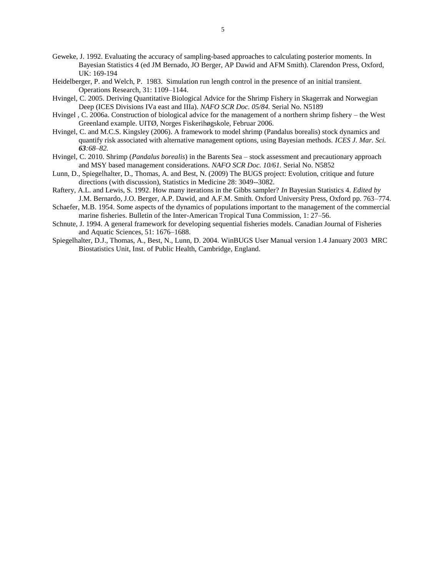- Geweke, J. 1992. Evaluating the accuracy of sampling-based approaches to calculating posterior moments. In Bayesian Statistics 4 (ed JM Bernado, JO Berger, AP Dawid and AFM Smith). Clarendon Press, Oxford, UK: 169-194
- Heidelberger, P. and Welch, P. 1983. Simulation run length control in the presence of an initial transient. Operations Research, 31: 1109–1144.
- Hvingel, C. 2005. Deriving Quantitative Biological Advice for the Shrimp Fishery in Skagerrak and Norwegian Deep (ICES Divisions IVa east and IIIa). *NAFO SCR Doc. 05/84.* Serial No. N5189
- Hvingel , C. 2006a. Construction of biological advice for the management of a northern shrimp fishery the West Greenland example. UITØ, Norges Fiskerihøgskole, Februar 2006.
- Hvingel, C. and M.C.S. Kingsley (2006). A framework to model shrimp (Pandalus borealis) stock dynamics and quantify risk associated with alternative management options, using Bayesian methods. *ICES J. Mar. Sci. 63:68–82.*
- Hvingel, C. 2010. Shrimp (*Pandalus borealis*) in the Barents Sea stock assessment and precautionary approach and MSY based management considerations. *NAFO SCR Doc. 10/61.* Serial No. N5852
- Lunn, D., Spiegelhalter, D., Thomas, A. and Best, N. (2009) The BUGS project: Evolution, critique and future directions (with discussion), Statistics in Medicine 28: 3049--3082.
- Raftery, A.L. and Lewis, S. 1992. How many iterations in the Gibbs sampler? *In* Bayesian Statistics 4. *Edited by* J.M. Bernardo, J.O. Berger, A.P. Dawid, and A.F.M. Smith. Oxford University Press, Oxford pp. 763–774.
- Schaefer, M.B. 1954. Some aspects of the dynamics of populations important to the management of the commercial marine fisheries. Bulletin of the Inter-American Tropical Tuna Commission, 1: 27–56.
- Schnute, J. 1994. A general framework for developing sequential fisheries models. Canadian Journal of Fisheries and Aquatic Sciences, 51: 1676–1688.
- Spiegelhalter, D.J., Thomas, A., Best, N., Lunn, D. 2004. WinBUGS User Manual version 1.4 January 2003 MRC Biostatistics Unit, Inst. of Public Health, Cambridge, England.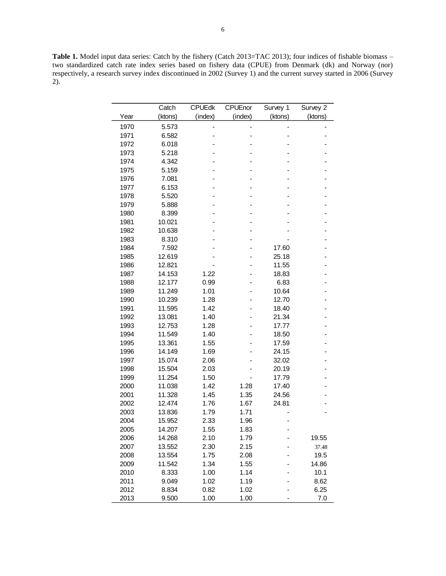Table 1. Model input data series: Catch by the fishery (Catch 2013=TAC 2013); four indices of fishable biomass – two standardized catch rate index series based on fishery data (CPUE) from Denmark (dk) and Norway (nor) respectively, a research survey index discontinued in 2002 (Survey 1) and the current survey started in 2006 (Survey 2).

|      | Catch   | <b>CPUEdk</b> | CPUEnor | Survey 1 | Survey 2 |
|------|---------|---------------|---------|----------|----------|
| Year | (ktons) | (index)       | (index) | (ktons)  | (ktons)  |
| 1970 | 5.573   |               |         |          |          |
| 1971 | 6.582   |               |         |          |          |
| 1972 | 6.018   |               |         |          |          |
| 1973 | 5.218   |               |         |          |          |
| 1974 | 4.342   |               |         |          |          |
| 1975 | 5.159   |               |         |          |          |
| 1976 | 7.081   |               |         |          |          |
| 1977 | 6.153   |               |         |          |          |
| 1978 | 5.520   |               |         |          |          |
| 1979 | 5.888   |               |         |          |          |
| 1980 | 8.399   |               |         |          |          |
| 1981 | 10.021  |               |         |          |          |
| 1982 | 10.638  |               |         |          |          |
| 1983 | 8.310   |               |         |          |          |
| 1984 | 7.592   |               |         | 17.60    |          |
| 1985 | 12.619  |               |         | 25.18    |          |
| 1986 | 12.821  |               |         | 11.55    |          |
| 1987 | 14.153  | 1.22          |         | 18.83    |          |
| 1988 | 12.177  | 0.99          |         | 6.83     |          |
| 1989 | 11.249  | 1.01          |         | 10.64    |          |
| 1990 | 10.239  | 1.28          |         | 12.70    |          |
| 1991 | 11.595  | 1.42          |         | 18.40    |          |
| 1992 | 13.081  | 1.40          |         | 21.34    |          |
| 1993 | 12.753  | 1.28          |         | 17.77    |          |
| 1994 | 11.549  | 1.40          |         | 18.50    |          |
| 1995 | 13.361  | 1.55          |         | 17.59    |          |
| 1996 | 14.149  | 1.69          |         | 24.15    |          |
| 1997 | 15.074  | 2.06          |         | 32.02    |          |
| 1998 | 15.504  | 2.03          |         | 20.19    |          |
| 1999 | 11.254  | 1.50          |         | 17.79    |          |
| 2000 | 11.038  | 1.42          | 1.28    | 17.40    |          |
| 2001 | 11.328  | 1.45          | 1.35    | 24.56    |          |
| 2002 | 12.474  | 1.76          | 1.67    | 24.81    |          |
| 2003 | 13.836  | 1.79          | 1.71    |          |          |
| 2004 | 15.952  | 2.33          | 1.96    |          |          |
| 2005 | 14.207  | 1.55          | 1.83    | -        |          |
| 2006 | 14.268  | 2.10          | 1.79    |          | 19.55    |
| 2007 | 13.552  | 2.30          | 2.15    |          | 37.48    |
| 2008 | 13.554  | 1.75          | 2.08    |          | 19.5     |
| 2009 | 11.542  | 1.34          | 1.55    |          | 14.86    |
| 2010 | 8.333   | 1.00          | 1.14    |          | 10.1     |
| 2011 | 9.049   | 1.02          | 1.19    |          | 8.62     |
| 2012 | 8.834   | 0.82          | 1.02    |          | 6.25     |
| 2013 | 9.500   | 1.00          | 1.00    |          | 7.0      |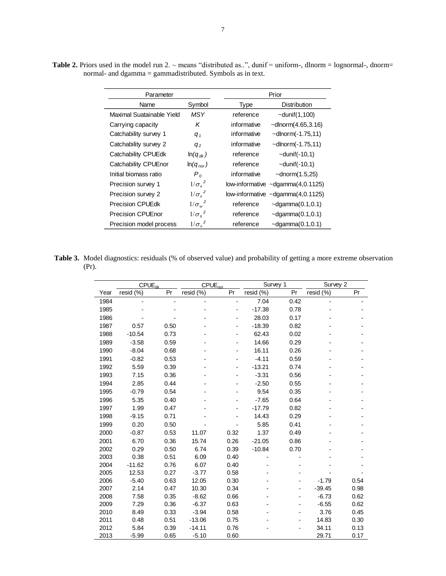| Parameter                 |                         | Prior                                       |  |  |  |
|---------------------------|-------------------------|---------------------------------------------|--|--|--|
| Name                      | Symbol                  | <b>Distribution</b><br>Type                 |  |  |  |
| Maximal Suatainable Yield | MSY                     | reference<br>$\sim$ dunif $(1,100)$         |  |  |  |
| Carrying capacity         | K                       | informative<br>$\sim$ dlnorm $(4.65, 3.16)$ |  |  |  |
| Catchability survey 1     | $q_{1}$                 | informative<br>$\sim$ dlnorm $(-1.75, 11)$  |  |  |  |
| Catchability survey 2     | q <sub>2</sub>          | informative<br>$\sim$ dlnorm $(-1.75, 11)$  |  |  |  |
| Catchability CPUEdk       | $ln(q_{dk})$            | reference<br>$\sim$ dunif $(-10,1)$         |  |  |  |
| Catchability CPUEnor      | $ln(q_{nor})$           | $\sim$ dunif $(-10,1)$<br>reference         |  |  |  |
| Initial biomass ratio     | $P_0$                   | informative<br>$\sim$ dnorm $(1.5,25)$      |  |  |  |
| Precision survey 1        | $1/\sigma_r^2$          | low-informative $\sim$ dgamma $(4, 0.1125)$ |  |  |  |
| Precision survey 2        | $1/\sigma_{\epsilon}^2$ | low-informative $\sim$ dgamma $(4, 0.1125)$ |  |  |  |
| <b>Precision CPUEdk</b>   | $1/\sigma_\omega^2$     | reference<br>$\sim$ dgamma $(0.1, 0.1)$     |  |  |  |
| <b>Precision CPUEnor</b>  | $1/\sigma_n^2$          | $\sim$ dgamma $(0.1, 0.1)$<br>reference     |  |  |  |
| Precision model process   | $1/\sigma_v^2$          | $\sim$ dgamma $(0.1, 0.1)$<br>reference     |  |  |  |

**Table 2.** Priors used in the model run  $2. \sim$  means "distributed as..", dunif = uniform-, dlnorm = lognormal-, dnorm= normal- and dgamma = gammadistributed. Symbols as in text.

**Table 3.** Model diagnostics: residuals (% of observed value) and probability of getting a more extreme observation (Pr).

|      |           | $CPUE_{dk}$ | CPUE <sub>nor</sub> |      | Survey 1  |      | Survey 2  |      |
|------|-----------|-------------|---------------------|------|-----------|------|-----------|------|
| Year | resid (%) | Pr          | resid (%)           | Pr   | resid (%) | Pr   | resid (%) | Pr   |
| 1984 |           |             |                     |      | 7.04      | 0.42 |           |      |
| 1985 |           |             |                     |      | $-17.38$  | 0.78 |           |      |
| 1986 |           |             |                     |      | 28.03     | 0.17 |           |      |
| 1987 | 0.57      | 0.50        |                     |      | $-18.39$  | 0.82 |           |      |
| 1988 | $-10.54$  | 0.73        |                     |      | 62.43     | 0.02 |           |      |
| 1989 | $-3.58$   | 0.59        |                     |      | 14.66     | 0.29 |           |      |
| 1990 | $-8.04$   | 0.68        |                     |      | 16.11     | 0.26 |           |      |
| 1991 | $-0.82$   | 0.53        |                     |      | $-4.11$   | 0.59 |           |      |
| 1992 | 5.59      | 0.39        |                     |      | $-13.21$  | 0.74 |           |      |
| 1993 | 7.15      | 0.36        |                     |      | $-3.31$   | 0.56 |           |      |
| 1994 | 2.85      | 0.44        |                     |      | $-2.50$   | 0.55 |           |      |
| 1995 | $-0.79$   | 0.54        |                     |      | 9.54      | 0.35 |           |      |
| 1996 | 5.35      | 0.40        |                     |      | $-7.65$   | 0.64 |           |      |
| 1997 | 1.99      | 0.47        |                     |      | $-17.79$  | 0.82 |           |      |
| 1998 | $-9.15$   | 0.71        |                     |      | 14.43     | 0.29 |           |      |
| 1999 | 0.20      | 0.50        |                     |      | 5.85      | 0.41 |           |      |
| 2000 | $-0.87$   | 0.53        | 11.07               | 0.32 | 1.37      | 0.49 |           |      |
| 2001 | 6.70      | 0.36        | 15.74               | 0.26 | $-21.05$  | 0.86 |           |      |
| 2002 | 0.29      | 0.50        | 6.74                | 0.39 | $-10.84$  | 0.70 |           |      |
| 2003 | 0.38      | 0.51        | 6.09                | 0.40 |           |      |           |      |
| 2004 | $-11.62$  | 0.76        | 6.07                | 0.40 |           |      |           |      |
| 2005 | 12.53     | 0.27        | $-3.77$             | 0.58 |           |      |           |      |
| 2006 | $-5.40$   | 0.63        | 12.05               | 0.30 |           |      | $-1.79$   | 0.54 |
| 2007 | 2.14      | 0.47        | 10.30               | 0.34 |           |      | $-39.45$  | 0.98 |
| 2008 | 7.58      | 0.35        | $-8.62$             | 0.66 |           |      | $-6.73$   | 0.62 |
| 2009 | 7.29      | 0.36        | $-6.37$             | 0.63 |           |      | $-6.55$   | 0.62 |
| 2010 | 8.49      | 0.33        | $-3.94$             | 0.58 |           |      | 3.76      | 0.45 |
| 2011 | 0.48      | 0.51        | $-13.06$            | 0.75 |           |      | 14.83     | 0.30 |
| 2012 | 5.84      | 0.39        | $-14.11$            | 0.76 |           |      | 34.11     | 0.13 |
| 2013 | $-5.99$   | 0.65        | $-5.10$             | 0.60 |           |      | 29.71     | 0.17 |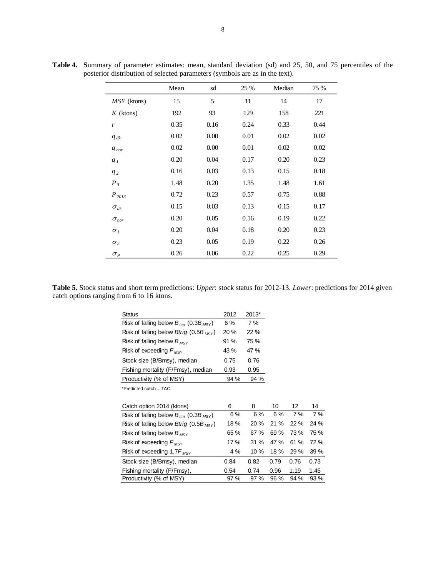|                                 | Mean | sd   | 25 % | Median | 75 % |
|---------------------------------|------|------|------|--------|------|
| $MSY$ (ktons)                   | 15   | 5    | 11   | 14     | 17   |
| $K$ (ktons)                     | 192  | 93   | 129  | 158    | 221  |
| r                               | 0.35 | 0.16 | 0.24 | 0.33   | 0.44 |
| $q_{dk}$                        | 0.02 | 0.00 | 0.01 | 0.02   | 0.02 |
| $q_{nor}$                       | 0.02 | 0.00 | 0.01 | 0.02   | 0.02 |
| $q_I$                           | 0.20 | 0.04 | 0.17 | 0.20   | 0.23 |
| $q_2$                           | 0.16 | 0.03 | 0.13 | 0.15   | 0.18 |
| $P_0$                           | 1.48 | 0.20 | 1.35 | 1.48   | 1.61 |
| $P_{2013}$                      | 0.72 | 0.23 | 0.57 | 0.75   | 0.88 |
| $\sigma_{dk}$                   | 0.15 | 0.03 | 0.13 | 0.15   | 0.17 |
| $\sigma_{\textit{nor}}$         | 0.20 | 0.05 | 0.16 | 0.19   | 0.22 |
| $\sigma_I$                      | 0.20 | 0.04 | 0.18 | 0.20   | 0.23 |
| $\sigma_2$                      | 0.23 | 0.05 | 0.19 | 0.22   | 0.26 |
| $\sigma_{\scriptscriptstyle P}$ | 0.26 | 0.06 | 0.22 | 0.25   | 0.29 |

**Table 4. S**ummary of parameter estimates: mean, standard deviation (sd) and 25, 50, and 75 percentiles of the posterior distribution of selected parameters (symbols are as in the text).

**Table 5.** Stock status and short term predictions: *Upper*: stock status for 2012-13. *Lower*: predictions for 2014 given catch options ranging from 6 to 16 ktons.

| Status                                                 | 2012 | 2013* |      |      |      |
|--------------------------------------------------------|------|-------|------|------|------|
| Risk of falling below $B_{lim}$ (0.3B <sub>MSY</sub> ) | 6 %  | 7 %   |      |      |      |
| Risk of falling below Btrig (0.5B $_{MSY}$ )           | 20 % | 22 %  |      |      |      |
| Risk of falling below $B_{MSY}$                        | 91 % | 75 %  |      |      |      |
| Risk of exceeding $F_{MSY}$                            | 43 % | 47 %  |      |      |      |
| Stock size (B/Bmsy), median                            | 0.75 | 0.76  |      |      |      |
| Fishing mortality (F/Fmsy), median                     | 0.93 | 0.95  |      |      |      |
| Productivity (% of MSY)                                | 94 % | 94 %  |      |      |      |
| *Predicted catch = TAC                                 |      |       |      |      |      |
|                                                        |      |       |      |      |      |
| Catch option 2014 (ktons)                              | 6    | 8     | 10   | 12   | 14   |
| Risk of falling below $B_{lim}$ (0.3B <sub>MSY</sub> ) | 6 %  | 6 %   | 6 %  | 7 %  | 7 %  |
| Risk of falling below Btrig (0.5B $_{MSY}$ )           | 18%  | 20 %  | 21%  | 22 % | 24 % |
| Risk of falling below $B_{MSY}$                        | 65 % | 67 %  | 69%  | 73 % | 75 % |
| Risk of exceeding $F_{MSY}$                            | 17 % | 31%   | 47 % | 61 % | 72 % |
| Risk of exceeding 1.7 $F_{MSY}$                        | 4 %  | 10 %  | 18 % | 29 % | 39 % |
| Stock size (B/Bmsy), median                            | 0.84 | 0.82  | 0.79 | 0.76 | 0.73 |
| Fishing mortality (F/Fmsy),                            | 0.54 | 0.74  | 0.96 | 1.19 | 1.45 |
| Productivity (% of MSY)                                | 97 % | 97 %  | 96 % | 94 % | 93 % |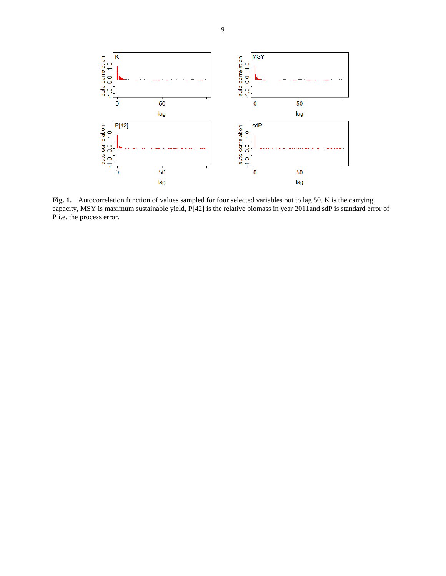

Fig. 1. Autocorrelation function of values sampled for four selected variables out to lag 50. K is the carrying capacity, MSY is maximum sustainable yield, P[42] is the relative biomass in year 2011and sdP is standard error of P i.e. the process error.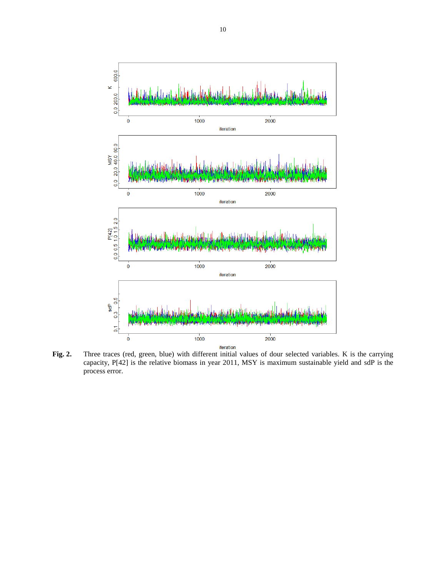

**Fig. 2.** Three traces (red, green, blue) with different initial values of dour selected variables. K is the carrying capacity, P[42] is the relative biomass in year 2011, MSY is maximum sustainable yield and sdP is the process error.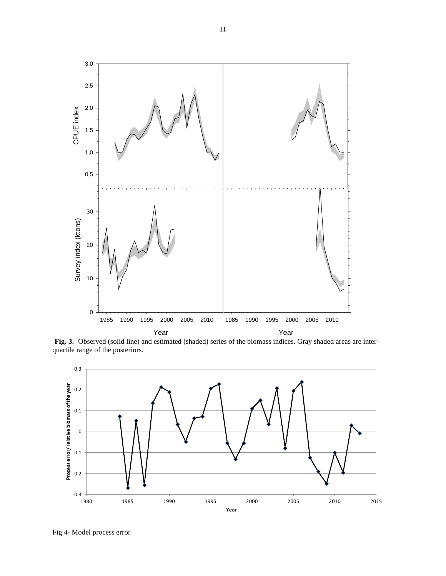

**Fig. 3.** Observed (solid line) and estimated (shaded) series of the biomass indices. Gray shaded areas are interquartile range of the posteriors.



Fig 4- Model process error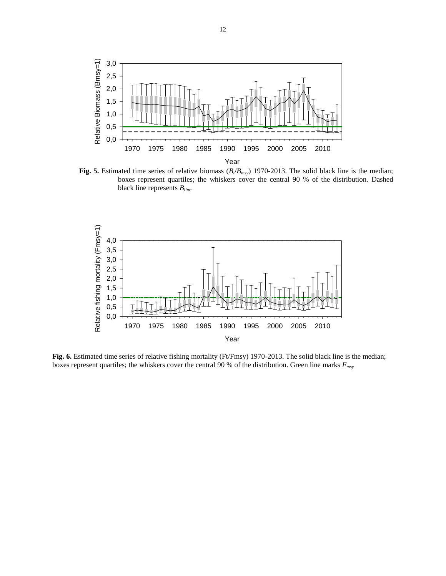

**Fig. 5.** Estimated time series of relative biomass  $(B_t/B_{msy})$  1970-2013. The solid black line is the median; boxes represent quartiles; the whiskers cover the central 90 % of the distribution. Dashed black line represents *Blim*.



**Fig. 6.** Estimated time series of relative fishing mortality (Ft/Fmsy) 1970-2013. The solid black line is the median; boxes represent quartiles; the whiskers cover the central 90 % of the distribution. Green line marks *Fmsy*